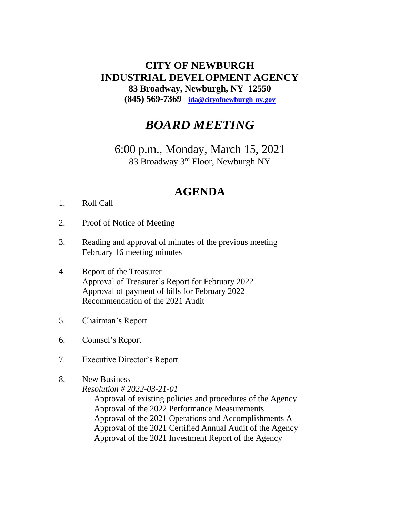## **CITY OF NEWBURGH INDUSTRIAL DEVELOPMENT AGENCY 83 Broadway, Newburgh, NY 12550 (845) 569-7369 [ida@cityofnewburgh-ny.gov](mailto:ida@cityofnewburgh-ny.gov)**

## *BOARD MEETING*

6:00 p.m., Monday, March 15, 2021 83 Broadway 3rd Floor, Newburgh NY

## **AGENDA**

- 1. Roll Call
- 2. Proof of Notice of Meeting
- 3. Reading and approval of minutes of the previous meeting February 16 meeting minutes
- 4. Report of the Treasurer Approval of Treasurer's Report for February 2022 Approval of payment of bills for February 2022 Recommendation of the 2021 Audit
- 5. Chairman's Report
- 6. Counsel's Report
- 7. Executive Director's Report
- 8. New Business
	- *Resolution # 2022-03-21-01*

Approval of existing policies and procedures of the Agency Approval of the 2022 Performance Measurements Approval of the 2021 Operations and Accomplishments A Approval of the 2021 Certified Annual Audit of the Agency Approval of the 2021 Investment Report of the Agency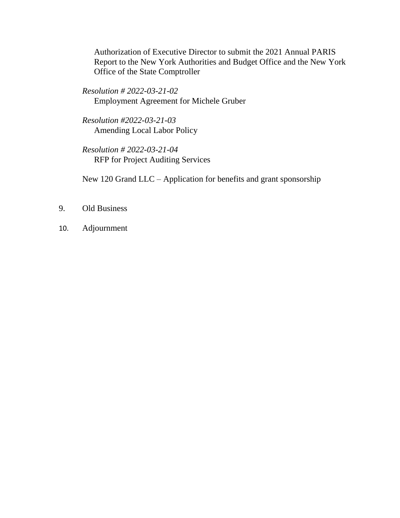Authorization of Executive Director to submit the 2021 Annual PARIS Report to the New York Authorities and Budget Office and the New York Office of the State Comptroller

*Resolution # 2022-03-21-02* Employment Agreement for Michele Gruber

*Resolution #2022-03-21-03* Amending Local Labor Policy

*Resolution # 2022-03-21-04* RFP for Project Auditing Services

New 120 Grand LLC – Application for benefits and grant sponsorship

- 9. Old Business
- 10. Adjournment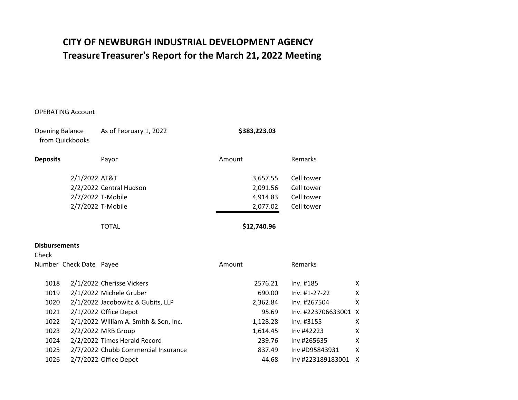## **CITY OF NEWBURGH INDUSTRIAL DEVELOPMENT AGENCY Treasurer's Report for the March 21, 2022 Meeting Treasurer's Report for the March 21, 2022 Meeting**

### OPERATING Account

| <b>Opening Balance</b> | from Quickbooks         | As of February 1, 2022                | \$383,223.03 |                      |   |
|------------------------|-------------------------|---------------------------------------|--------------|----------------------|---|
| <b>Deposits</b>        |                         | Payor                                 | Amount       | Remarks              |   |
|                        | 2/1/2022 AT&T           |                                       | 3,657.55     | Cell tower           |   |
|                        |                         | 2/2/2022 Central Hudson               | 2,091.56     | Cell tower           |   |
|                        | 2/7/2022 T-Mobile       |                                       | 4,914.83     | Cell tower           |   |
|                        |                         | 2/7/2022 T-Mobile                     | 2,077.02     | Cell tower           |   |
|                        |                         | <b>TOTAL</b>                          | \$12,740.96  |                      |   |
| <b>Disbursements</b>   |                         |                                       |              |                      |   |
| Check                  |                         |                                       |              |                      |   |
|                        | Number Check Date Payee |                                       | Amount       | Remarks              |   |
| 1018                   |                         | 2/1/2022 Cherisse Vickers             | 2576.21      | Inv. #185            | Χ |
| 1019                   |                         | 2/1/2022 Michele Gruber               | 690.00       | Inv. #1-27-22        | Χ |
| 1020                   |                         | 2/1/2022 Jacobowitz & Gubits, LLP     | 2,362.84     | Inv. #267504         | х |
| 1021                   |                         | 2/1/2022 Office Depot                 | 95.69        | Inv. #223706633001 X |   |
| 1022                   |                         | 2/1/2022 William A. Smith & Son, Inc. | 1,128.28     | Inv. #3155           | Χ |
| 1023                   |                         | 2/2/2022 MRB Group                    | 1,614.45     | Inv #42223           | X |
| 1024                   |                         | 2/2/2022 Times Herald Record          | 239.76       | Inv #265635          | X |
| 1025                   |                         | 2/7/2022 Chubb Commercial Insurance   | 837.49       | Inv #D95843931       | X |
| 1026                   |                         | 2/7/2022 Office Depot                 | 44.68        | Inv #223189183001    | Χ |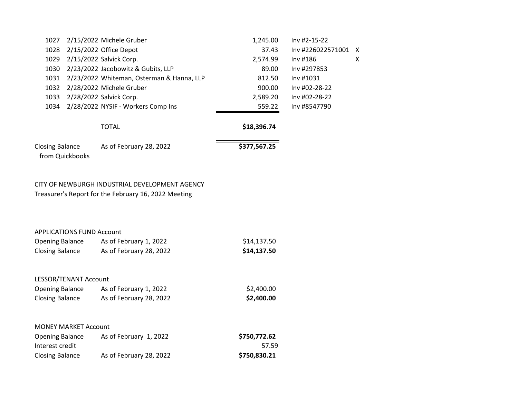| 1027                                      | 2/15/2022 Michele Gruber                  | 1,245.00     | Inv #2-15-22        |   |
|-------------------------------------------|-------------------------------------------|--------------|---------------------|---|
| 1028                                      | $2/15/2022$ Office Depot                  | 37.43        | Inv #226022571001 X |   |
| 1029                                      | 2/15/2022 Salvick Corp.                   | 2,574.99     | Inv#186             | X |
| 1030                                      | 2/23/2022 Jacobowitz & Gubits, LLP        | 89.00        | Inv #297853         |   |
| 1031                                      | 2/23/2022 Whiteman, Osterman & Hanna, LLP | 812.50       | Inv#1031            |   |
| 1032                                      | 2/28/2022 Michele Gruber                  | 900.00       | Inv #02-28-22       |   |
| 1033                                      | 2/28/2022 Salvick Corp.                   | 2,589.20     | Inv #02-28-22       |   |
| 1034                                      | 2/28/2022 NYSIF - Workers Comp Ins        | 559.22       | Inv #8547790        |   |
|                                           | <b>TOTAL</b>                              | \$18,396.74  |                     |   |
| <b>Closing Balance</b><br>from Quickbooks | As of February 28, 2022                   | \$377,567.25 |                     |   |
|                                           |                                           |              |                     |   |

## CITY OF NEWBURGH INDUSTRIAL DEVELOPMENT AGENCY Treasurer's Report for the February 16, 2022 Meeting

#### APPLICATIONS FUND Account

| <b>Opening Balance</b> | As of February 1, 2022  | \$14,137.50 |
|------------------------|-------------------------|-------------|
| <b>Closing Balance</b> | As of February 28, 2022 | \$14,137.50 |

## LESSOR/TENANT Account

| <b>Opening Balance</b> | As of February 1, 2022  | \$2,400.00 |
|------------------------|-------------------------|------------|
| <b>Closing Balance</b> | As of February 28, 2022 | \$2,400.00 |

## MONEY MARKET Account

| <b>Opening Balance</b> | As of February 1, 2022  | \$750,772.62 |
|------------------------|-------------------------|--------------|
| Interest credit        |                         | 57.59        |
| <b>Closing Balance</b> | As of February 28, 2022 | \$750,830.21 |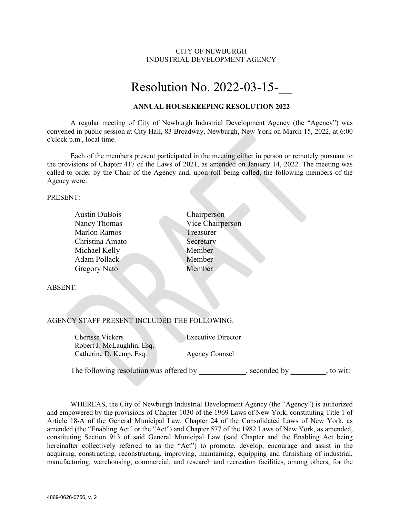#### CITY OF NEWBURGH INDUSTRIAL DEVELOPMENT AGENCY

# Resolution No. 2022-03-15-\_\_

#### **ANNUAL HOUSEKEEPING RESOLUTION 2022**

A regular meeting of City of Newburgh Industrial Development Agency (the "Agency") was convened in public session at City Hall, 83 Broadway, Newburgh, New York on March 15, 2022, at 6:00 o'clock p.m., local time.

Each of the members present participated in the meeting either in person or remotely pursuant to the provisions of Chapter 417 of the Laws of 2021, as amended on January 14, 2022. The meeting was called to order by the Chair of the Agency and, upon roll being called, the following members of the Agency were:

PRESENT:

| <b>Austin DuBois</b>                            | Chairperson      |
|-------------------------------------------------|------------------|
| Nancy Thomas                                    | Vice Chairperson |
| <b>Marlon Ramos</b>                             | Treasurer        |
| Christina Amato                                 | Secretary        |
| Michael Kelly                                   | Member           |
| Adam Pollack                                    | Member           |
| Gregory Nato                                    | Member           |
|                                                 |                  |
| <b>ABSENT:</b>                                  |                  |
|                                                 |                  |
|                                                 |                  |
| A CEMICV STAER DRESENT IMCLEIDED THE EQUIVALOUS |                  |

AGENCY STAFF PRESENT INCLUDED THE FOLLOWING:

Cherisse Vickers Executive Director Robert J. McLaughlin, Esq. Catherine D. Kemp, Esq. Agency Counsel

The following resolution was offered by example by example seconded by to wit:

WHEREAS, the City of Newburgh Industrial Development Agency (the "Agency") is authorized and empowered by the provisions of Chapter 1030 of the 1969 Laws of New York, constituting Title 1 of Article 18-A of the General Municipal Law, Chapter 24 of the Consolidated Laws of New York, as amended (the "Enabling Act" or the "Act") and Chapter 577 of the 1982 Laws of New York, as amended, constituting Section 913 of said General Municipal Law (said Chapter and the Enabling Act being hereinafter collectively referred to as the "Act") to promote, develop, encourage and assist in the acquiring, constructing, reconstructing, improving, maintaining, equipping and furnishing of industrial, manufacturing, warehousing, commercial, and research and recreation facilities, among others, for the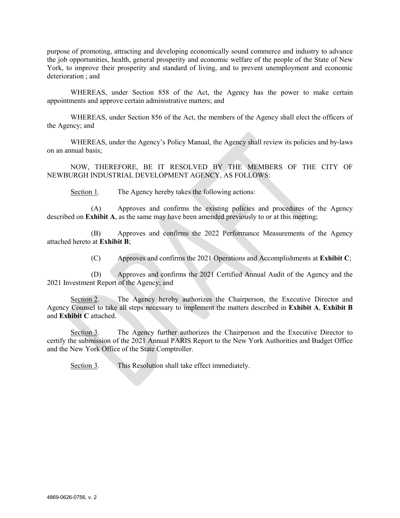purpose of promoting, attracting and developing economically sound commerce and industry to advance the job opportunities, health, general prosperity and economic welfare of the people of the State of New York, to improve their prosperity and standard of living, and to prevent unemployment and economic deterioration ; and

WHEREAS, under Section 858 of the Act, the Agency has the power to make certain appointments and approve certain administrative matters; and

WHEREAS, under Section 856 of the Act, the members of the Agency shall elect the officers of the Agency; and

WHEREAS, under the Agency's Policy Manual, the Agency shall review its policies and by-laws on an annual basis;

NOW, THEREFORE, BE IT RESOLVED BY THE MEMBERS OF THE CITY OF NEWBURGH INDUSTRIAL DEVELOPMENT AGENCY, AS FOLLOWS:

Section 1. The Agency hereby takes the following actions:

(A) Approves and confirms the existing policies and procedures of the Agency described on **Exhibit A**, as the same may have been amended previously to or at this meeting;

(B) Approves and confirms the 2022 Performance Measurements of the Agency attached hereto at **Exhibit B**;

(C) Approves and confirms the 2021 Operations and Accomplishments at **Exhibit C**;

(D) Approves and confirms the 2021 Certified Annual Audit of the Agency and the 2021 Investment Report of the Agency; and

Section 2. The Agency hereby authorizes the Chairperson, the Executive Director and Agency Counsel to take all steps necessary to implement the matters described in **Exhibit A**, **Exhibit B** and **Exhibit C** attached.

Section 3. The Agency further authorizes the Chairperson and the Executive Director to certify the submission of the 2021 Annual PARIS Report to the New York Authorities and Budget Office and the New York Office of the State Comptroller.

Section 3. This Resolution shall take effect immediately.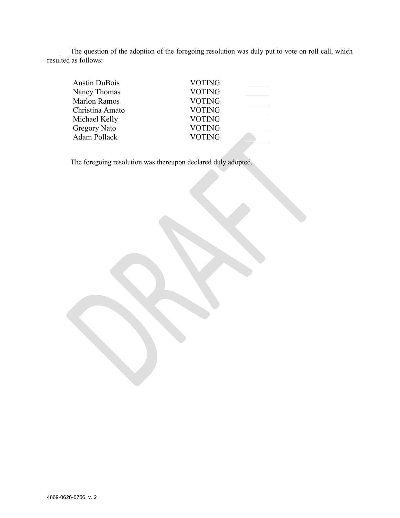The question of the adoption of the foregoing resolution was duly put to vote on roll call, which resulted as follows:

| <b>Austin DuBois</b> | <b>VOTING</b> |  |
|----------------------|---------------|--|
| Nancy Thomas         | <b>VOTING</b> |  |
| <b>Marlon Ramos</b>  | <b>VOTING</b> |  |
| Christina Amato      | <b>VOTING</b> |  |
| Michael Kelly        | <b>VOTING</b> |  |
| <b>Gregory Nato</b>  | <b>VOTING</b> |  |
| Adam Pollack         | <b>VOTING</b> |  |
|                      |               |  |

The foregoing resolution was thereupon declared duly adopted.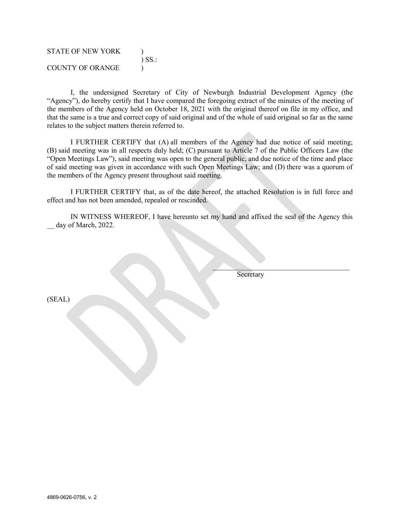| <b>STATE OF NEW YORK</b> | $\sum$ SS.: |
|--------------------------|-------------|
| COUNTY OF ORANGE         |             |

I, the undersigned Secretary of City of Newburgh Industrial Development Agency (the "Agency"), do hereby certify that I have compared the foregoing extract of the minutes of the meeting of the members of the Agency held on October 18, 2021 with the original thereof on file in my office, and that the same is a true and correct copy of said original and of the whole of said original so far as the same relates to the subject matters therein referred to.

I FURTHER CERTIFY that (A) all members of the Agency had due notice of said meeting; (B) said meeting was in all respects duly held; (C) pursuant to Article 7 of the Public Officers Law (the "Open Meetings Law"), said meeting was open to the general public, and due notice of the time and place of said meeting was given in accordance with such Open Meetings Law; and (D) there was a quorum of the members of the Agency present throughout said meeting.

I FURTHER CERTIFY that, as of the date hereof, the attached Resolution is in full force and effect and has not been amended, repealed or rescinded.

IN WITNESS WHEREOF, I have hereunto set my hand and affixed the seal of the Agency this day of March, 2022.

Secretary

 $\mathcal{L}=\mathcal{L}=\mathcal{L}=\mathcal{L}=\mathcal{L}=\mathcal{L}=\mathcal{L}=\mathcal{L}=\mathcal{L}=\mathcal{L}=\mathcal{L}=\mathcal{L}=\mathcal{L}=\mathcal{L}=\mathcal{L}=\mathcal{L}=\mathcal{L}=\mathcal{L}=\mathcal{L}=\mathcal{L}=\mathcal{L}=\mathcal{L}=\mathcal{L}=\mathcal{L}=\mathcal{L}=\mathcal{L}=\mathcal{L}=\mathcal{L}=\mathcal{L}=\mathcal{L}=\mathcal{L}=\mathcal{L}=\mathcal{L}=\mathcal{L}=\mathcal{L}=\mathcal{L}=\mathcal{$ 

(SEAL)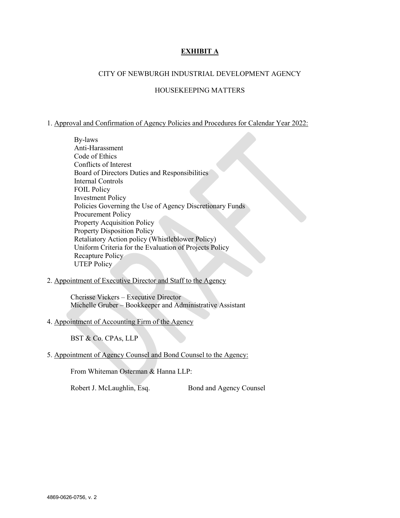## **EXHIBIT A**

#### CITY OF NEWBURGH INDUSTRIAL DEVELOPMENT AGENCY

#### HOUSEKEEPING MATTERS

#### 1. Approval and Confirmation of Agency Policies and Procedures for Calendar Year 2022:

- By-laws Anti-Harassment Code of Ethics Conflicts of Interest Board of Directors Duties and Responsibilities Internal Controls FOIL Policy Investment Policy Policies Governing the Use of Agency Discretionary Funds Procurement Policy Property Acquisition Policy Property Disposition Policy Retaliatory Action policy (Whistleblower Policy) Uniform Criteria for the Evaluation of Projects Policy Recapture Policy UTEP Policy
- 2. Appointment of Executive Director and Staff to the Agency

Cherisse Vickers – Executive Director Michelle Gruber – Bookkeeper and Administrative Assistant

#### 4. Appointment of Accounting Firm of the Agency

BST & Co. CPAs, LLP

5. Appointment of Agency Counsel and Bond Counsel to the Agency:

From Whiteman Osterman & Hanna LLP:

Robert J. McLaughlin, Esq. Bond and Agency Counsel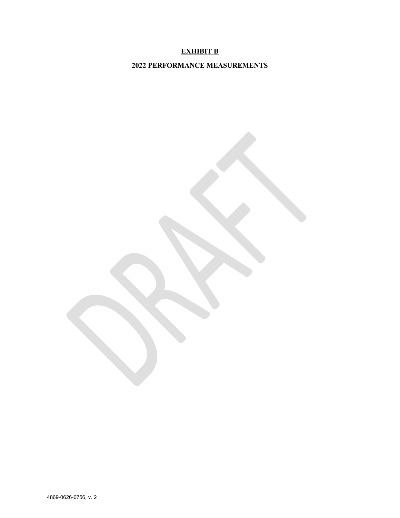## **EXHIBIT B**

**2022 PERFORMANCE MEASUREMENTS**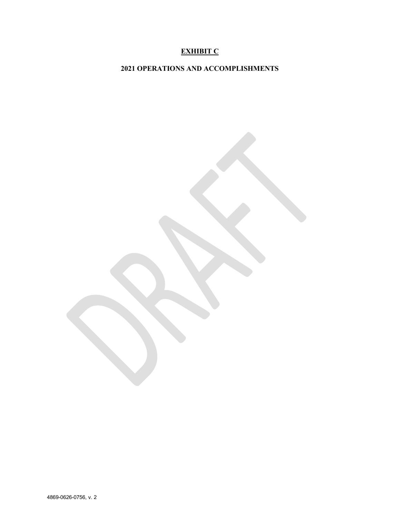## **EXHIBIT C**

**2021 OPERATIONS AND ACCOMPLISHMENTS**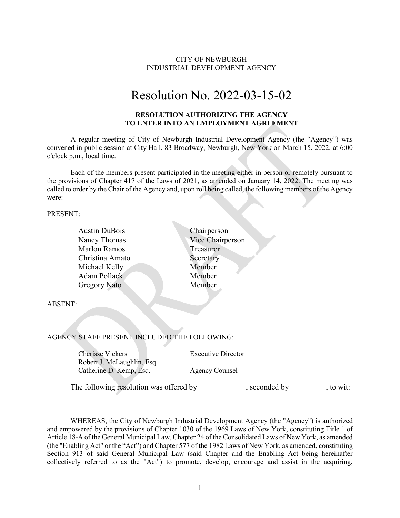### CITY OF NEWBURGH INDUSTRIAL DEVELOPMENT AGENCY

# Resolution No. 2022-03-15-02

#### **RESOLUTION AUTHORIZING THE AGENCY TO ENTER INTO AN EMPLOYMENT AGREEMENT**

A regular meeting of City of Newburgh Industrial Development Agency (the "Agency") was convened in public session at City Hall, 83 Broadway, Newburgh, New York on March 15, 2022, at 6:00 o'clock p.m., local time.

Each of the members present participated in the meeting either in person or remotely pursuant to the provisions of Chapter 417 of the Laws of 2021, as amended on January 14, 2022. The meeting was called to order by the Chair of the Agency and, upon roll being called, the following members of the Agency were:

PRESENT:

| <b>Austin DuBois</b>                         | Chairperson               |
|----------------------------------------------|---------------------------|
| Nancy Thomas                                 | Vice Chairperson          |
| <b>Marlon Ramos</b>                          | Treasurer                 |
| Christina Amato                              | Secretary                 |
| Michael Kelly                                | Member                    |
| <b>Adam Pollack</b>                          | Member                    |
| Gregory Nato                                 | Member                    |
|                                              |                           |
| <b>ABSENT:</b>                               |                           |
|                                              |                           |
|                                              |                           |
|                                              |                           |
| AGENCY STAFF PRESENT INCLUDED THE FOLLOWING: |                           |
|                                              |                           |
| <b>Cherisse Vickers</b>                      | <b>Executive Director</b> |
| Robert J. McLaughlin, Esq.                   |                           |
| Catherine D. Kemp, Esq.                      | <b>Agency Counsel</b>     |

The following resolution was offered by \_\_\_\_\_\_\_\_\_\_, seconded by \_\_\_\_\_\_\_, to wit:

WHEREAS, the City of Newburgh Industrial Development Agency (the "Agency") is authorized and empowered by the provisions of Chapter 1030 of the 1969 Laws of New York, constituting Title 1 of Article 18-A of the General Municipal Law, Chapter 24 of the Consolidated Laws of New York, as amended (the "Enabling Act" or the "Act") and Chapter 577 of the 1982 Laws of New York, as amended, constituting Section 913 of said General Municipal Law (said Chapter and the Enabling Act being hereinafter collectively referred to as the "Act") to promote, develop, encourage and assist in the acquiring,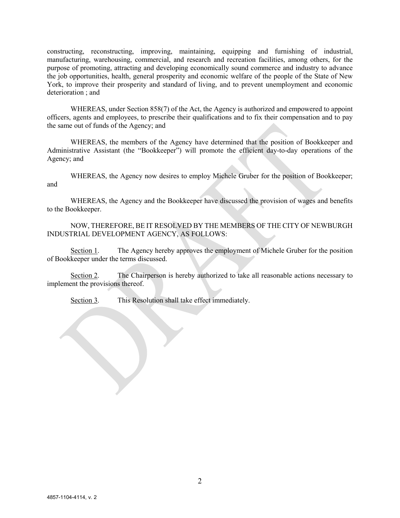constructing, reconstructing, improving, maintaining, equipping and furnishing of industrial, manufacturing, warehousing, commercial, and research and recreation facilities, among others, for the purpose of promoting, attracting and developing economically sound commerce and industry to advance the job opportunities, health, general prosperity and economic welfare of the people of the State of New York, to improve their prosperity and standard of living, and to prevent unemployment and economic deterioration ; and

WHEREAS, under Section 858(7) of the Act, the Agency is authorized and empowered to appoint officers, agents and employees, to prescribe their qualifications and to fix their compensation and to pay the same out of funds of the Agency; and

WHEREAS, the members of the Agency have determined that the position of Bookkeeper and Administrative Assistant (the "Bookkeeper") will promote the efficient day-to-day operations of the Agency; and

WHEREAS, the Agency now desires to employ Michele Gruber for the position of Bookkeeper; and

WHEREAS, the Agency and the Bookkeeper have discussed the provision of wages and benefits to the Bookkeeper.

NOW, THEREFORE, BE IT RESOLVED BY THE MEMBERS OF THE CITY OF NEWBURGH INDUSTRIAL DEVELOPMENT AGENCY, AS FOLLOWS:

Section 1. The Agency hereby approves the employment of Michele Gruber for the position of Bookkeeper under the terms discussed.

Section 2. The Chairperson is hereby authorized to take all reasonable actions necessary to implement the provisions thereof.

Section 3. This Resolution shall take effect immediately.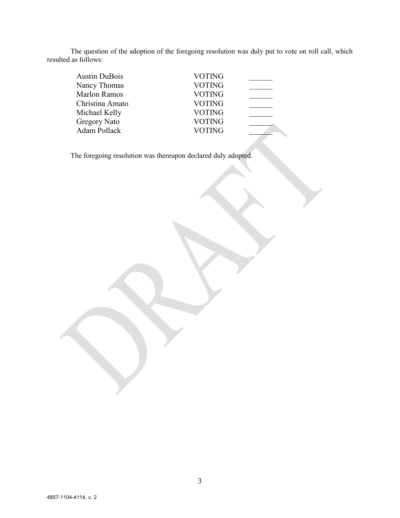The question of the adoption of the foregoing resolution was duly put to vote on roll call, which resulted as follows:

| <b>Austin DuBois</b> | <b>VOTING</b> |  |
|----------------------|---------------|--|
| Nancy Thomas         | <b>VOTING</b> |  |
| <b>Marlon Ramos</b>  | <b>VOTING</b> |  |
| Christina Amato      | <b>VOTING</b> |  |
| Michael Kelly        | <b>VOTING</b> |  |
| <b>Gregory Nato</b>  | <b>VOTING</b> |  |
| Adam Pollack         | <b>VOTING</b> |  |
|                      |               |  |

The foregoing resolution was thereupon declared duly adopted.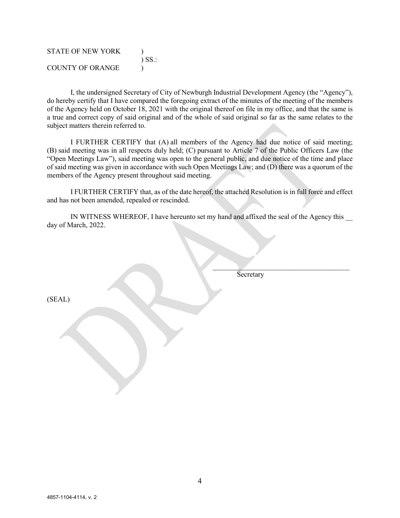| <b>STATE OF NEW YORK</b> | $\sum$ SS: |
|--------------------------|------------|
| <b>COUNTY OF ORANGE</b>  |            |

I, the undersigned Secretary of City of Newburgh Industrial Development Agency (the "Agency"), do hereby certify that I have compared the foregoing extract of the minutes of the meeting of the members of the Agency held on October 18, 2021 with the original thereof on file in my office, and that the same is a true and correct copy of said original and of the whole of said original so far as the same relates to the subject matters therein referred to.

I FURTHER CERTIFY that (A) all members of the Agency had due notice of said meeting; (B) said meeting was in all respects duly held; (C) pursuant to Article 7 of the Public Officers Law (the "Open Meetings Law"), said meeting was open to the general public, and due notice of the time and place of said meeting was given in accordance with such Open Meetings Law; and (D) there was a quorum of the members of the Agency present throughout said meeting.

I FURTHER CERTIFY that, as of the date hereof, the attached Resolution is in full force and effect and has not been amended, repealed or rescinded.

IN WITNESS WHEREOF, I have hereunto set my hand and affixed the seal of the Agency this day of March, 2022.

Secretary

 $\overline{\phantom{a}}$  , where  $\overline{\phantom{a}}$  , where  $\overline{\phantom{a}}$  , where  $\overline{\phantom{a}}$  , where  $\overline{\phantom{a}}$ 

(SEAL)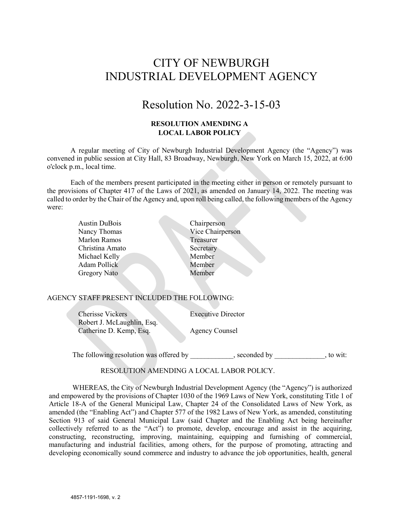## CITY OF NEWBURGH INDUSTRIAL DEVELOPMENT AGENCY

## Resolution No. 2022-3-15-03

## **RESOLUTION AMENDING A LOCAL LABOR POLICY**

A regular meeting of City of Newburgh Industrial Development Agency (the "Agency") was convened in public session at City Hall, 83 Broadway, Newburgh, New York on March 15, 2022, at 6:00 o'clock p.m., local time.

Each of the members present participated in the meeting either in person or remotely pursuant to the provisions of Chapter 417 of the Laws of 2021, as amended on January 14, 2022. The meeting was called to order by the Chair of the Agency and, upon roll being called, the following members of the Agency were:

| <b>Austin DuBois</b> | Chairperson      |
|----------------------|------------------|
| Nancy Thomas         | Vice Chairperson |
| <b>Marlon Ramos</b>  | Treasurer        |
| Christina Amato      | Secretary        |
| Michael Kelly        | Member           |
| Adam Pollick         | Member           |
| <b>Gregory Nato</b>  | Member           |
|                      |                  |

#### AGENCY STAFF PRESENT INCLUDED THE FOLLOWING:

Cherisse Vickers Executive Director Robert J. McLaughlin, Esq. Catherine D. Kemp, Esq. Agency Counsel

The following resolution was offered by example by example seconded by to wit:

#### RESOLUTION AMENDING A LOCAL LABOR POLICY.

WHEREAS, the City of Newburgh Industrial Development Agency (the "Agency") is authorized and empowered by the provisions of Chapter 1030 of the 1969 Laws of New York, constituting Title 1 of Article 18-A of the General Municipal Law, Chapter 24 of the Consolidated Laws of New York, as amended (the "Enabling Act") and Chapter 577 of the 1982 Laws of New York, as amended, constituting Section 913 of said General Municipal Law (said Chapter and the Enabling Act being hereinafter collectively referred to as the "Act") to promote, develop, encourage and assist in the acquiring, constructing, reconstructing, improving, maintaining, equipping and furnishing of commercial, manufacturing and industrial facilities, among others, for the purpose of promoting, attracting and developing economically sound commerce and industry to advance the job opportunities, health, general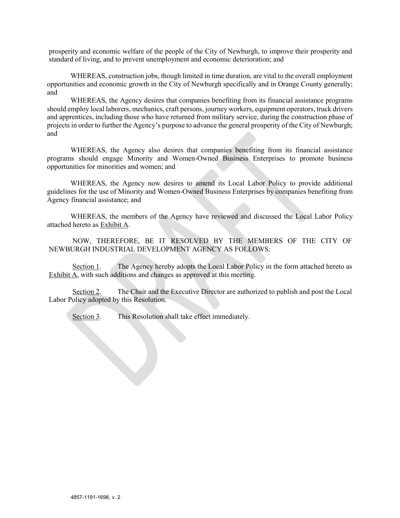prosperity and economic welfare of the people of the City of Newburgh, to improve their prosperity and standard of living, and to prevent unemployment and economic deterioration; and

WHEREAS, construction jobs, though limited in time duration, are vital to the overall employment opportunities and economic growth in the City of Newburgh specifically and in Orange County generally; and

WHEREAS, the Agency desires that companies benefiting from its financial assistance programs should employ local laborers, mechanics, craft persons, journey workers, equipment operators, truck drivers and apprentices, including those who have returned from military service, during the construction phase of projects in order to further the Agency's purpose to advance the general prosperity of the City of Newburgh; and

WHEREAS, the Agency also desires that companies benefiting from its financial assistance programs should engage Minority and Women-Owned Business Enterprises to promote business opportunities for minorities and women; and

WHEREAS, the Agency now desires to amend its Local Labor Policy to provide additional guidelines for the use of Minority and Women-Owned Business Enterprises by companies benefiting from Agency financial assistance; and

WHEREAS, the members of the Agency have reviewed and discussed the Local Labor Policy attached hereto as Exhibit A.

NOW, THEREFORE, BE IT RESOLVED BY THE MEMBERS OF THE CITY OF NEWBURGH INDUSTRIAL DEVELOPMENT AGENCY AS FOLLOWS:

Section 1. The Agency hereby adopts the Local Labor Policy in the form attached hereto as Exhibit A, with such additions and changes as approved at this meeting.

Section 2. The Chair and the Executive Director are authorized to publish and post the Local Labor Policy adopted by this Resolution.

Section 3. This Resolution shall take effect immediately.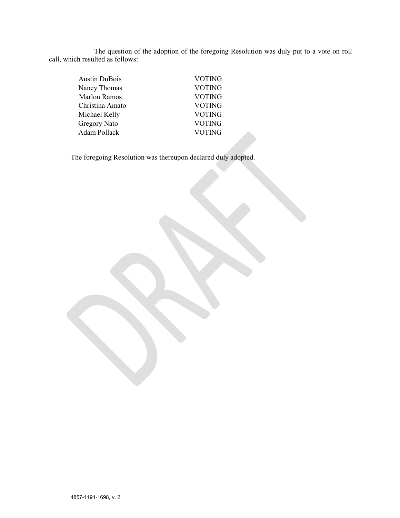The question of the adoption of the foregoing Resolution was duly put to a vote on roll call, which resulted as follows:

| <b>Austin DuBois</b> | VOTING        |  |
|----------------------|---------------|--|
| Nancy Thomas         | <b>VOTING</b> |  |
| <b>Marlon Ramos</b>  | <b>VOTING</b> |  |
| Christina Amato      | VOTING        |  |
| Michael Kelly        | <b>VOTING</b> |  |
| Gregory Nato         | <b>VOTING</b> |  |
| Adam Pollack         | <b>VOTING</b> |  |

The foregoing Resolution was thereupon declared duly adopted.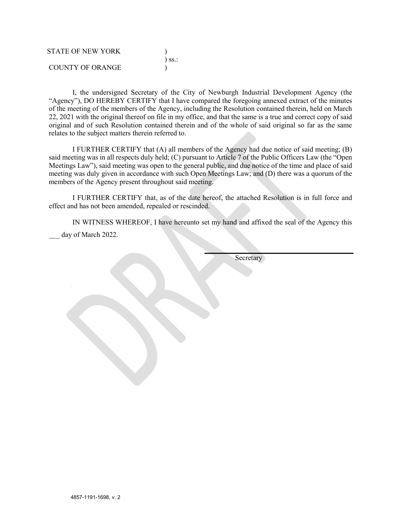| STATE OF NEW YORK |             |
|-------------------|-------------|
|                   | $\sum$ SS.: |
| COUNTY OF ORANGE  |             |

I, the undersigned Secretary of the City of Newburgh Industrial Development Agency (the "Agency"), DO HEREBY CERTIFY that I have compared the foregoing annexed extract of the minutes of the meeting of the members of the Agency, including the Resolution contained therein, held on March 22, 2021 with the original thereof on file in my office, and that the same is a true and correct copy of said original and of such Resolution contained therein and of the whole of said original so far as the same relates to the subject matters therein referred to.

I FURTHER CERTIFY that (A) all members of the Agency had due notice of said meeting; (B) said meeting was in all respects duly held; (C) pursuant to Article 7 of the Public Officers Law (the "Open Meetings Law"), said meeting was open to the general public, and due notice of the time and place of said meeting was duly given in accordance with such Open Meetings Law; and (D) there was a quorum of the members of the Agency present throughout said meeting.

I FURTHER CERTIFY that, as of the date hereof, the attached Resolution is in full force and effect and has not been amended, repealed or rescinded.

IN WITNESS WHEREOF, I have hereunto set my hand and affixed the seal of the Agency this day of March 2022.

**Secretary**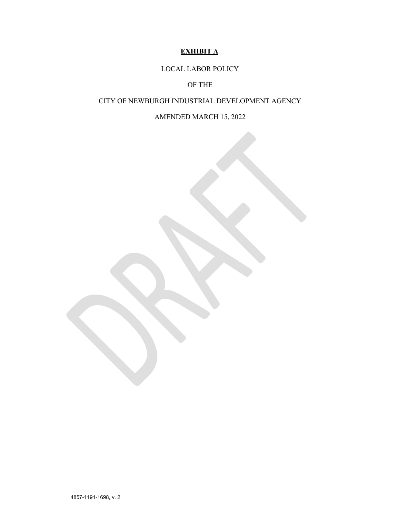## **EXHIBIT A**

LOCAL LABOR POLICY

OF THE

### CITY OF NEWBURGH INDUSTRIAL DEVELOPMENT AGENCY

AMENDED MARCH 15, 2022

4857-1191-1698, v. 2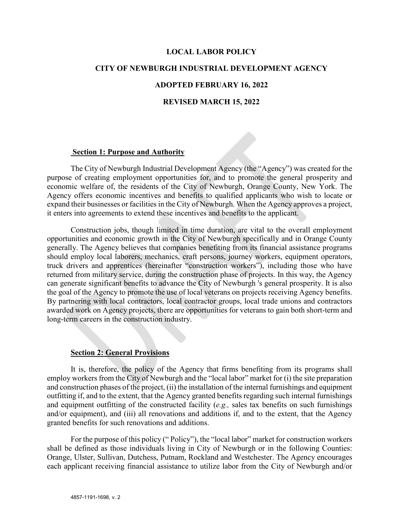## **LOCAL LABOR POLICY**

#### **CITY OF NEWBURGH INDUSTRIAL DEVELOPMENT AGENCY**

## **ADOPTED FEBRUARY 16, 2022**

### **REVISED MARCH 15, 2022**

#### **Section 1: Purpose and Authority**

The City of Newburgh Industrial Development Agency (the "Agency") was created for the purpose of creating employment opportunities for, and to promote the general prosperity and economic welfare of, the residents of the City of Newburgh, Orange County, New York. The Agency offers economic incentives and benefits to qualified applicants who wish to locate or expand their businesses or facilities in the City of Newburgh. When the Agency approves a project, it enters into agreements to extend these incentives and benefits to the applicant.

Construction jobs, though limited in time duration, are vital to the overall employment opportunities and economic growth in the City of Newburgh specifically and in Orange County generally. The Agency believes that companies benefiting from its financial assistance programs should employ local laborers, mechanics, craft persons, journey workers, equipment operators, truck drivers and apprentices (hereinafter "construction workers"), including those who have returned from military service, during the construction phase of projects. In this way, the Agency can generate significant benefits to advance the City of Newburgh 's general prosperity. It is also the goal of the Agency to promote the use of local veterans on projects receiving Agency benefits. By partnering with local contractors, local contractor groups, local trade unions and contractors awarded work on Agency projects, there are opportunities for veterans to gain both short-term and long-term careers in the construction industry.

## **Section 2: General Provisions**

It is, therefore, the policy of the Agency that firms benefiting from its programs shall employ workers from the City of Newburgh and the "local labor" market for (i) the site preparation and construction phases of the project, (ii) the installation of the internal furnishings and equipment outfitting if, and to the extent, that the Agency granted benefits regarding such internal furnishings and equipment outfitting of the constructed facility (*e.g.,* sales tax benefits on such furnishings and/or equipment), and (iii) all renovations and additions if, and to the extent, that the Agency granted benefits for such renovations and additions.

For the purpose of this policy (" Policy"), the "local labor" market for construction workers shall be defined as those individuals living in City of Newburgh or in the following Counties: Orange, Ulster, Sullivan, Dutchess, Putnam, Rockland and Westchester. The Agency encourages each applicant receiving financial assistance to utilize labor from the City of Newburgh and/or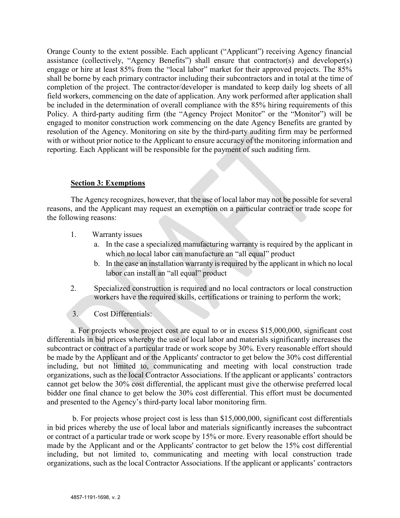Orange County to the extent possible. Each applicant ("Applicant") receiving Agency financial assistance (collectively, "Agency Benefits") shall ensure that contractor(s) and developer(s) engage or hire at least 85% from the "local labor" market for their approved projects. The 85% shall be borne by each primary contractor including their subcontractors and in total at the time of completion of the project. The contractor/developer is mandated to keep daily log sheets of all field workers, commencing on the date of application. Any work performed after application shall be included in the determination of overall compliance with the 85% hiring requirements of this Policy. A third-party auditing firm (the "Agency Project Monitor" or the "Monitor") will be engaged to monitor construction work commencing on the date Agency Benefits are granted by resolution of the Agency. Monitoring on site by the third-party auditing firm may be performed with or without prior notice to the Applicant to ensure accuracy of the monitoring information and reporting. Each Applicant will be responsible for the payment of such auditing firm.

## **Section 3: Exemptions**

The Agency recognizes, however, that the use of local labor may not be possible for several reasons, and the Applicant may request an exemption on a particular contract or trade scope for the following reasons:

- 1. Warranty issues
	- a. In the case a specialized manufacturing warranty is required by the applicant in which no local labor can manufacture an "all equal" product
	- b. In the case an installation warranty is required by the applicant in which no local labor can install an "all equal" product
- 2. Specialized construction is required and no local contractors or local construction workers have the required skills, certifications or training to perform the work;
- 3. Cost Differentials:

a. For projects whose project cost are equal to or in excess \$15,000,000, significant cost differentials in bid prices whereby the use of local labor and materials significantly increases the subcontract or contract of a particular trade or work scope by 30%. Every reasonable effort should be made by the Applicant and or the Applicants' contractor to get below the 30% cost differential including, but not limited to, communicating and meeting with local construction trade organizations, such as the local Contractor Associations. If the applicant or applicants' contractors cannot get below the 30% cost differential, the applicant must give the otherwise preferred local bidder one final chance to get below the 30% cost differential. This effort must be documented and presented to the Agency's third-party local labor monitoring firm.

b. For projects whose project cost is less than \$15,000,000, significant cost differentials in bid prices whereby the use of local labor and materials significantly increases the subcontract or contract of a particular trade or work scope by 15% or more. Every reasonable effort should be made by the Applicant and or the Applicants' contractor to get below the 15% cost differential including, but not limited to, communicating and meeting with local construction trade organizations, such as the local Contractor Associations. If the applicant or applicants' contractors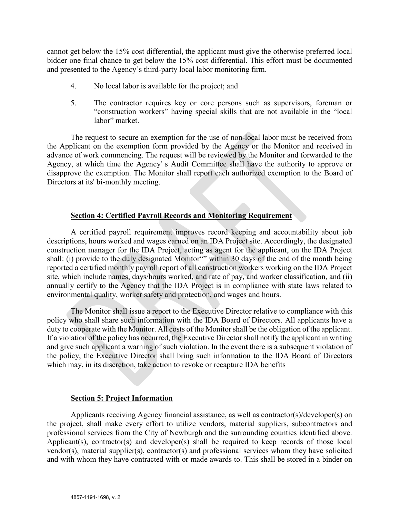cannot get below the 15% cost differential, the applicant must give the otherwise preferred local bidder one final chance to get below the 15% cost differential. This effort must be documented and presented to the Agency's third-party local labor monitoring firm.

- 4. No local labor is available for the project; and
- 5. The contractor requires key or core persons such as supervisors, foreman or "construction workers" having special skills that are not available in the "local labor" market.

The request to secure an exemption for the use of non-local labor must be received from the Applicant on the exemption form provided by the Agency or the Monitor and received in advance of work commencing. The request will be reviewed by the Monitor and forwarded to the Agency, at which time the Agency' s Audit Committee shall have the authority to approve or disapprove the exemption. The Monitor shall report each authorized exemption to the Board of Directors at its' bi-monthly meeting.

## **Section 4: Certified Payroll Records and Monitoring Requirement**

A certified payroll requirement improves record keeping and accountability about job descriptions, hours worked and wages earned on an IDA Project site. Accordingly, the designated construction manager for the IDA Project, acting as agent for the applicant, on the IDA Project shall: (i) provide to the duly designated Monitor"" within 30 days of the end of the month being reported a certified monthly payroll report of all construction workers working on the IDA Project site, which include names, days/hours worked, and rate of pay, and worker classification, and (ii) annually certify to the Agency that the IDA Project is in compliance with state laws related to environmental quality, worker safety and protection, and wages and hours.

The Monitor shall issue a report to the Executive Director relative to compliance with this policy who shall share such information with the IDA Board of Directors. All applicants have a duty to cooperate with the Monitor. All costs of the Monitor shall be the obligation of the applicant. If a violation of the policy has occurred, the Executive Director shall notify the applicant in writing and give such applicant a warning of such violation. In the event there is a subsequent violation of the policy, the Executive Director shall bring such information to the IDA Board of Directors which may, in its discretion, take action to revoke or recapture IDA benefits

## **Section 5: Project Information**

Applicants receiving Agency financial assistance, as well as contractor(s)/developer(s) on the project, shall make every effort to utilize vendors, material suppliers, subcontractors and professional services from the City of Newburgh and the surrounding counties identified above. Applicant(s), contractor(s) and developer(s) shall be required to keep records of those local vendor(s), material supplier(s), contractor(s) and professional services whom they have solicited and with whom they have contracted with or made awards to. This shall be stored in a binder on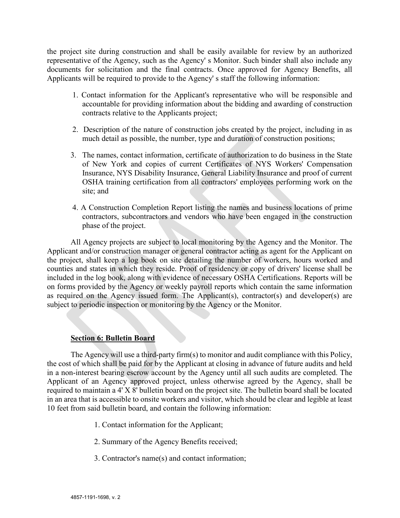the project site during construction and shall be easily available for review by an authorized representative of the Agency, such as the Agency' s Monitor. Such binder shall also include any documents for solicitation and the final contracts. Once approved for Agency Benefits, all Applicants will be required to provide to the Agency' s staff the following information:

- 1. Contact information for the Applicant's representative who will be responsible and accountable for providing information about the bidding and awarding of construction contracts relative to the Applicants project;
- 2. Description of the nature of construction jobs created by the project, including in as much detail as possible, the number, type and duration of construction positions;
- 3. The names, contact information, certificate of authorization to do business in the State of New York and copies of current Certificates of NYS Workers' Compensation Insurance, NYS Disability Insurance, General Liability Insurance and proof of current OSHA training certification from all contractors' employees performing work on the site; and
- 4. A Construction Completion Report listing the names and business locations of prime contractors, subcontractors and vendors who have been engaged in the construction phase of the project.

All Agency projects are subject to local monitoring by the Agency and the Monitor. The Applicant and/or construction manager or general contractor acting as agent for the Applicant on the project, shall keep a log book on site detailing the number of workers, hours worked and counties and states in which they reside. Proof of residency or copy of drivers' license shall be included in the log book, along with evidence of necessary OSHA Certifications. Reports will be on forms provided by the Agency or weekly payroll reports which contain the same information as required on the Agency issued form. The Applicant(s), contractor(s) and developer(s) are subject to periodic inspection or monitoring by the Agency or the Monitor.

## **Section 6: Bulletin Board**

The Agency will use a third-party firm(s) to monitor and audit compliance with this Policy, the cost of which shall be paid for by the Applicant at closing in advance of future audits and held in a non-interest bearing escrow account by the Agency until all such audits are completed. The Applicant of an Agency approved project, unless otherwise agreed by the Agency, shall be required to maintain a 4' X 8' bulletin board on the project site. The bulletin board shall be located in an area that is accessible to onsite workers and visitor, which should be clear and legible at least 10 feet from said bulletin board, and contain the following information:

- 1. Contact information for the Applicant;
- 2. Summary of the Agency Benefits received;
- 3. Contractor's name(s) and contact information;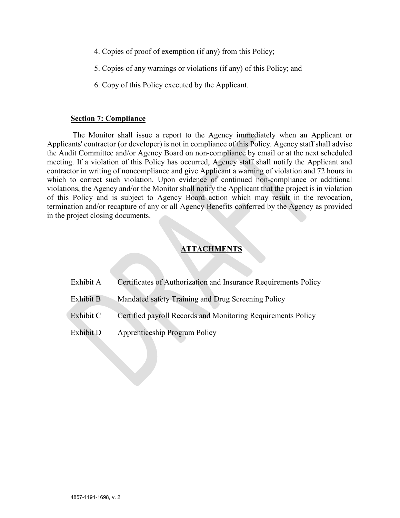- 4. Copies of proof of exemption (if any) from this Policy;
- 5. Copies of any warnings or violations (if any) of this Policy; and
- 6. Copy of this Policy executed by the Applicant.

### **Section 7: Compliance**

The Monitor shall issue a report to the Agency immediately when an Applicant or Applicants' contractor (or developer) is not in compliance of this Policy. Agency staff shall advise the Audit Committee and/or Agency Board on non-compliance by email or at the next scheduled meeting. If a violation of this Policy has occurred, Agency staff shall notify the Applicant and contractor in writing of noncompliance and give Applicant a warning of violation and 72 hours in which to correct such violation. Upon evidence of continued non-compliance or additional violations, the Agency and/or the Monitor shall notify the Applicant that the project is in violation of this Policy and is subject to Agency Board action which may result in the revocation, termination and/or recapture of any or all Agency Benefits conferred by the Agency as provided in the project closing documents.

## **ATTACHMENTS**

| Exhibit A | Certificates of Authorization and Insurance Requirements Policy |
|-----------|-----------------------------------------------------------------|
| Exhibit B | Mandated safety Training and Drug Screening Policy              |
| Exhibit C | Certified payroll Records and Monitoring Requirements Policy    |
| Exhibit D | <b>Apprenticeship Program Policy</b>                            |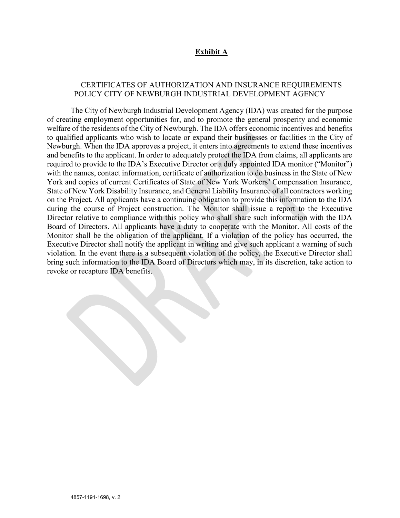## **Exhibit A**

### CERTIFICATES OF AUTHORIZATION AND INSURANCE REQUIREMENTS POLICY CITY OF NEWBURGH INDUSTRIAL DEVELOPMENT AGENCY

The City of Newburgh Industrial Development Agency (IDA) was created for the purpose of creating employment opportunities for, and to promote the general prosperity and economic welfare of the residents of the City of Newburgh. The IDA offers economic incentives and benefits to qualified applicants who wish to locate or expand their businesses or facilities in the City of Newburgh. When the IDA approves a project, it enters into agreements to extend these incentives and benefits to the applicant. In order to adequately protect the IDA from claims, all applicants are required to provide to the IDA's Executive Director or a duly appointed IDA monitor ("Monitor") with the names, contact information, certificate of authorization to do business in the State of New York and copies of current Certificates of State of New York Workers' Compensation Insurance, State of New York Disability Insurance, and General Liability Insurance of all contractors working on the Project. All applicants have a continuing obligation to provide this information to the IDA during the course of Project construction. The Monitor shall issue a report to the Executive Director relative to compliance with this policy who shall share such information with the IDA Board of Directors. All applicants have a duty to cooperate with the Monitor. All costs of the Monitor shall be the obligation of the applicant. If a violation of the policy has occurred, the Executive Director shall notify the applicant in writing and give such applicant a warning of such violation. In the event there is a subsequent violation of the policy, the Executive Director shall bring such information to the IDA Board of Directors which may, in its discretion, take action to revoke or recapture IDA benefits.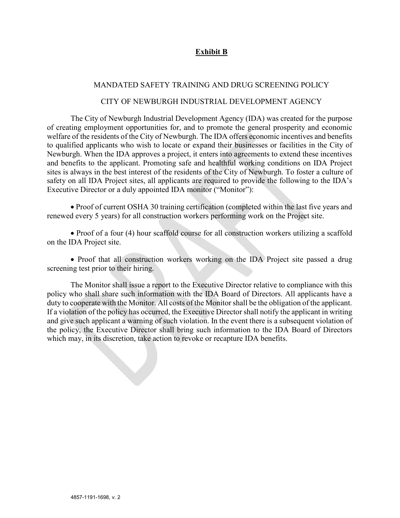## **Exhibit B**

### MANDATED SAFETY TRAINING AND DRUG SCREENING POLICY

#### CITY OF NEWBURGH INDUSTRIAL DEVELOPMENT AGENCY

The City of Newburgh Industrial Development Agency (IDA) was created for the purpose of creating employment opportunities for, and to promote the general prosperity and economic welfare of the residents of the City of Newburgh. The IDA offers economic incentives and benefits to qualified applicants who wish to locate or expand their businesses or facilities in the City of Newburgh. When the IDA approves a project, it enters into agreements to extend these incentives and benefits to the applicant. Promoting safe and healthful working conditions on IDA Project sites is always in the best interest of the residents of the City of Newburgh. To foster a culture of safety on all IDA Project sites, all applicants are required to provide the following to the IDA's Executive Director or a duly appointed IDA monitor ("Monitor"):

• Proof of current OSHA 30 training certification (completed within the last five years and renewed every 5 years) for all construction workers performing work on the Project site.

• Proof of a four (4) hour scaffold course for all construction workers utilizing a scaffold on the IDA Project site.

• Proof that all construction workers working on the IDA Project site passed a drug screening test prior to their hiring.

The Monitor shall issue a report to the Executive Director relative to compliance with this policy who shall share such information with the IDA Board of Directors. All applicants have a duty to cooperate with the Monitor. All costs of the Monitor shall be the obligation of the applicant. If a violation of the policy has occurred, the Executive Director shall notify the applicant in writing and give such applicant a warning of such violation. In the event there is a subsequent violation of the policy, the Executive Director shall bring such information to the IDA Board of Directors which may, in its discretion, take action to revoke or recapture IDA benefits.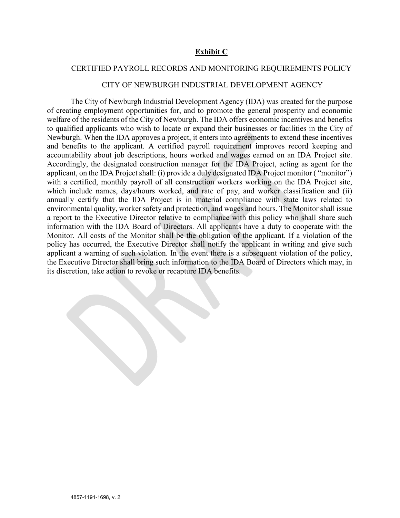## **Exhibit C**

#### CERTIFIED PAYROLL RECORDS AND MONITORING REQUIREMENTS POLICY

#### CITY OF NEWBURGH INDUSTRIAL DEVELOPMENT AGENCY

The City of Newburgh Industrial Development Agency (IDA) was created for the purpose of creating employment opportunities for, and to promote the general prosperity and economic welfare of the residents of the City of Newburgh. The IDA offers economic incentives and benefits to qualified applicants who wish to locate or expand their businesses or facilities in the City of Newburgh. When the IDA approves a project, it enters into agreements to extend these incentives and benefits to the applicant. A certified payroll requirement improves record keeping and accountability about job descriptions, hours worked and wages earned on an IDA Project site. Accordingly, the designated construction manager for the IDA Project, acting as agent for the applicant, on the IDA Project shall: (i) provide a duly designated IDA Project monitor ( "monitor") with a certified, monthly payroll of all construction workers working on the IDA Project site, which include names, days/hours worked, and rate of pay, and worker classification and (ii) annually certify that the IDA Project is in material compliance with state laws related to environmental quality, worker safety and protection, and wages and hours. The Monitor shall issue a report to the Executive Director relative to compliance with this policy who shall share such information with the IDA Board of Directors. All applicants have a duty to cooperate with the Monitor. All costs of the Monitor shall be the obligation of the applicant. If a violation of the policy has occurred, the Executive Director shall notify the applicant in writing and give such applicant a warning of such violation. In the event there is a subsequent violation of the policy, the Executive Director shall bring such information to the IDA Board of Directors which may, in its discretion, take action to revoke or recapture IDA benefits.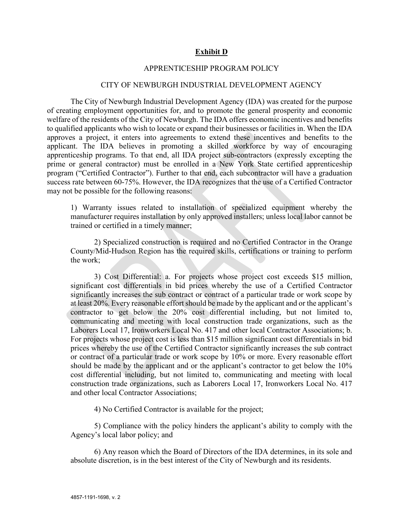## **Exhibit D**

## APPRENTICESHIP PROGRAM POLICY

#### CITY OF NEWBURGH INDUSTRIAL DEVELOPMENT AGENCY

The City of Newburgh Industrial Development Agency (IDA) was created for the purpose of creating employment opportunities for, and to promote the general prosperity and economic welfare of the residents of the City of Newburgh. The IDA offers economic incentives and benefits to qualified applicants who wish to locate or expand their businesses or facilities in. When the IDA approves a project, it enters into agreements to extend these incentives and benefits to the applicant. The IDA believes in promoting a skilled workforce by way of encouraging apprenticeship programs. To that end, all IDA project sub-contractors (expressly excepting the prime or general contractor) must be enrolled in a New York State certified apprenticeship program ("Certified Contractor"). Further to that end, each subcontractor will have a graduation success rate between 60-75%. However, the IDA recognizes that the use of a Certified Contractor may not be possible for the following reasons:

1) Warranty issues related to installation of specialized equipment whereby the manufacturer requires installation by only approved installers; unless local labor cannot be trained or certified in a timely manner;

2) Specialized construction is required and no Certified Contractor in the Orange County/Mid-Hudson Region has the required skills, certifications or training to perform the work;

3) Cost Differential: a. For projects whose project cost exceeds \$15 million, significant cost differentials in bid prices whereby the use of a Certified Contractor significantly increases the sub contract or contract of a particular trade or work scope by at least 20%. Every reasonable effort should be made by the applicant and or the applicant's contractor to get below the 20% cost differential including, but not limited to, communicating and meeting with local construction trade organizations, such as the Laborers Local 17, Ironworkers Local No. 417 and other local Contractor Associations; b. For projects whose project cost is less than \$15 million significant cost differentials in bid prices whereby the use of the Certified Contractor significantly increases the sub contract or contract of a particular trade or work scope by 10% or more. Every reasonable effort should be made by the applicant and or the applicant's contractor to get below the 10% cost differential including, but not limited to, communicating and meeting with local construction trade organizations, such as Laborers Local 17, Ironworkers Local No. 417 and other local Contractor Associations;

4) No Certified Contractor is available for the project;

5) Compliance with the policy hinders the applicant's ability to comply with the Agency's local labor policy; and

6) Any reason which the Board of Directors of the IDA determines, in its sole and absolute discretion, is in the best interest of the City of Newburgh and its residents.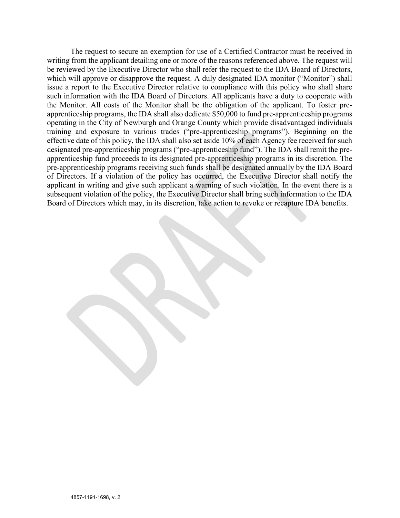The request to secure an exemption for use of a Certified Contractor must be received in writing from the applicant detailing one or more of the reasons referenced above. The request will be reviewed by the Executive Director who shall refer the request to the IDA Board of Directors, which will approve or disapprove the request. A duly designated IDA monitor ("Monitor") shall issue a report to the Executive Director relative to compliance with this policy who shall share such information with the IDA Board of Directors. All applicants have a duty to cooperate with the Monitor. All costs of the Monitor shall be the obligation of the applicant. To foster preapprenticeship programs, the IDA shall also dedicate \$50,000 to fund pre-apprenticeship programs operating in the City of Newburgh and Orange County which provide disadvantaged individuals training and exposure to various trades ("pre-apprenticeship programs"). Beginning on the effective date of this policy, the IDA shall also set aside 10% of each Agency fee received for such designated pre-apprenticeship programs ("pre-apprenticeship fund"). The IDA shall remit the preapprenticeship fund proceeds to its designated pre-apprenticeship programs in its discretion. The pre-apprenticeship programs receiving such funds shall be designated annually by the IDA Board of Directors. If a violation of the policy has occurred, the Executive Director shall notify the applicant in writing and give such applicant a warning of such violation. In the event there is a subsequent violation of the policy, the Executive Director shall bring such information to the IDA Board of Directors which may, in its discretion, take action to revoke or recapture IDA benefits.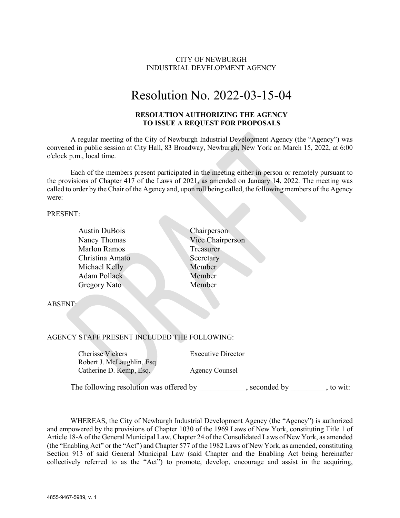## CITY OF NEWBURGH INDUSTRIAL DEVELOPMENT AGENCY

# Resolution No. 2022-03-15-04

#### **RESOLUTION AUTHORIZING THE AGENCY TO ISSUE A REQUEST FOR PROPOSALS**

A regular meeting of the City of Newburgh Industrial Development Agency (the "Agency") was convened in public session at City Hall, 83 Broadway, Newburgh, New York on March 15, 2022, at 6:00 o'clock p.m., local time.

Each of the members present participated in the meeting either in person or remotely pursuant to the provisions of Chapter 417 of the Laws of 2021, as amended on January 14, 2022. The meeting was called to order by the Chair of the Agency and, upon roll being called, the following members of the Agency were:

PRESENT:

| <b>Austin DuBois</b> | Chairperson      |
|----------------------|------------------|
| Nancy Thomas         | Vice Chairperson |
| <b>Marlon Ramos</b>  | Treasurer        |
| Christina Amato      | Secretary        |
| Michael Kelly        | Member           |
| <b>Adam Pollack</b>  | Member           |
| Gregory Nato         | Member           |
|                      |                  |
| <b>ABSENT:</b>       |                  |
|                      |                  |
|                      |                  |

#### AGENCY STAFF PRESENT INCLUDED THE FOLLOWING:

Cherisse Vickers Executive Director Robert J. McLaughlin, Esq. Catherine D. Kemp, Esq. Agency Counsel

The following resolution was offered by \_\_\_\_\_\_\_\_\_\_, seconded by \_\_\_\_\_\_\_, to wit:

WHEREAS, the City of Newburgh Industrial Development Agency (the "Agency") is authorized and empowered by the provisions of Chapter 1030 of the 1969 Laws of New York, constituting Title 1 of Article 18-A of the General Municipal Law, Chapter 24 of the Consolidated Laws of New York, as amended (the "Enabling Act" or the "Act") and Chapter 577 of the 1982 Laws of New York, as amended, constituting Section 913 of said General Municipal Law (said Chapter and the Enabling Act being hereinafter collectively referred to as the "Act") to promote, develop, encourage and assist in the acquiring,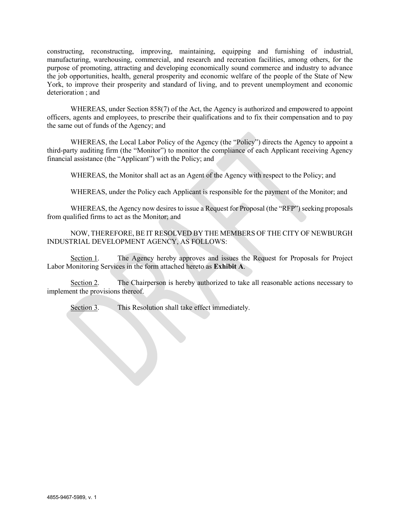constructing, reconstructing, improving, maintaining, equipping and furnishing of industrial, manufacturing, warehousing, commercial, and research and recreation facilities, among others, for the purpose of promoting, attracting and developing economically sound commerce and industry to advance the job opportunities, health, general prosperity and economic welfare of the people of the State of New York, to improve their prosperity and standard of living, and to prevent unemployment and economic deterioration ; and

WHEREAS, under Section 858(7) of the Act, the Agency is authorized and empowered to appoint officers, agents and employees, to prescribe their qualifications and to fix their compensation and to pay the same out of funds of the Agency; and

WHEREAS, the Local Labor Policy of the Agency (the "Policy") directs the Agency to appoint a third-party auditing firm (the "Monitor") to monitor the compliance of each Applicant receiving Agency financial assistance (the "Applicant") with the Policy; and

WHEREAS, the Monitor shall act as an Agent of the Agency with respect to the Policy; and

WHEREAS, under the Policy each Applicant is responsible for the payment of the Monitor; and

WHEREAS, the Agency now desires to issue a Request for Proposal (the "RFP") seeking proposals from qualified firms to act as the Monitor; and

NOW, THEREFORE, BE IT RESOLVED BY THE MEMBERS OF THE CITY OF NEWBURGH INDUSTRIAL DEVELOPMENT AGENCY, AS FOLLOWS:

Section 1. The Agency hereby approves and issues the Request for Proposals for Project Labor Monitoring Services in the form attached hereto as **Exhibit A**.

Section 2. The Chairperson is hereby authorized to take all reasonable actions necessary to implement the provisions thereof.

Section 3. This Resolution shall take effect immediately.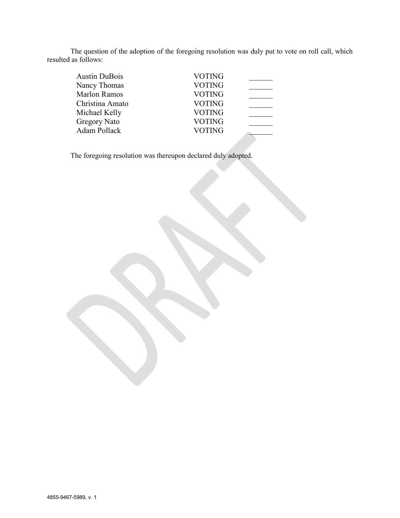The question of the adoption of the foregoing resolution was duly put to vote on roll call, which resulted as follows:

| <b>Austin DuBois</b> | <b>VOTING</b> |  |
|----------------------|---------------|--|
| Nancy Thomas         | <b>VOTING</b> |  |
| <b>Marlon Ramos</b>  | <b>VOTING</b> |  |
| Christina Amato      | <b>VOTING</b> |  |
| Michael Kelly        | <b>VOTING</b> |  |
| <b>Gregory Nato</b>  | <b>VOTING</b> |  |
| Adam Pollack         | <b>VOTING</b> |  |
|                      |               |  |

The foregoing resolution was thereupon declared duly adopted.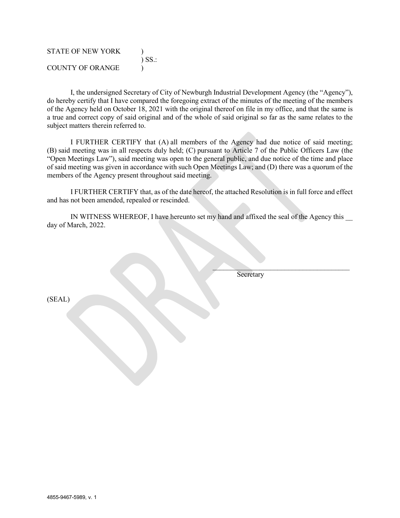| <b>STATE OF NEW YORK</b> | $\sum$ SS: |
|--------------------------|------------|
| COUNTY OF ORANGE         |            |

I, the undersigned Secretary of City of Newburgh Industrial Development Agency (the "Agency"), do hereby certify that I have compared the foregoing extract of the minutes of the meeting of the members of the Agency held on October 18, 2021 with the original thereof on file in my office, and that the same is a true and correct copy of said original and of the whole of said original so far as the same relates to the subject matters therein referred to.

I FURTHER CERTIFY that (A) all members of the Agency had due notice of said meeting; (B) said meeting was in all respects duly held; (C) pursuant to Article 7 of the Public Officers Law (the "Open Meetings Law"), said meeting was open to the general public, and due notice of the time and place of said meeting was given in accordance with such Open Meetings Law; and (D) there was a quorum of the members of the Agency present throughout said meeting.

I FURTHER CERTIFY that, as of the date hereof, the attached Resolution is in full force and effect and has not been amended, repealed or rescinded.

IN WITNESS WHEREOF, I have hereunto set my hand and affixed the seal of the Agency this day of March, 2022.

Secretary

 $\mathcal{L}=\mathcal{L}=\mathcal{L}=\mathcal{L}=\mathcal{L}=\mathcal{L}=\mathcal{L}=\mathcal{L}=\mathcal{L}=\mathcal{L}=\mathcal{L}=\mathcal{L}=\mathcal{L}=\mathcal{L}=\mathcal{L}=\mathcal{L}=\mathcal{L}=\mathcal{L}=\mathcal{L}=\mathcal{L}=\mathcal{L}=\mathcal{L}=\mathcal{L}=\mathcal{L}=\mathcal{L}=\mathcal{L}=\mathcal{L}=\mathcal{L}=\mathcal{L}=\mathcal{L}=\mathcal{L}=\mathcal{L}=\mathcal{L}=\mathcal{L}=\mathcal{L}=\mathcal{L}=\mathcal{$ 

(SEAL)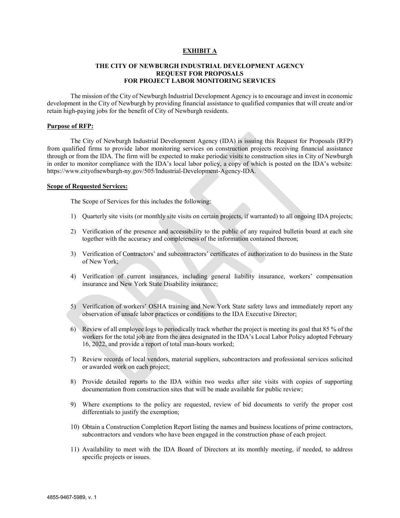#### **EXHIBIT A**

#### **THE CITY OF NEWBURGH INDUSTRIAL DEVELOPMENT AGENCY REQUEST FOR PROPOSALS FOR PROJECT LABOR MONITORING SERVICES**

The mission of the City of Newburgh Industrial Development Agency is to encourage and invest in economic development in the City of Newburgh by providing financial assistance to qualified companies that will create and/or retain high-paying jobs for the benefit of City of Newburgh residents.

#### **Purpose of RFP:**

The City of Newburgh Industrial Development Agency (IDA) is issuing this Request for Proposals (RFP) from qualified firms to provide labor monitoring services on construction projects receiving financial assistance through or from the IDA. The firm will be expected to make periodic visits to construction sites in City of Newburgh in order to monitor compliance with the IDA's local labor policy, a copy of which is posted on the IDA's website: https://www.cityofnewburgh-ny.gov/505/Industrial-Development-Agency-IDA.

#### **Scope of Requested Services:**

The Scope of Services for this includes the following:

- 1) Quarterly site visits (or monthly site visits on certain projects, if warranted) to all ongoing IDA projects;
- 2) Verification of the presence and accessibility to the public of any required bulletin board at each site together with the accuracy and completeness of the information contained thereon;
- 3) Verification of Contractors' and subcontractors' certificates of authorization to do business in the State of New York;
- 4) Verification of current insurances, including general liability insurance, workers' compensation insurance and New York State Disability insurance;
- 5) Verification of workers' OSHA training and New York State safety laws and immediately report any observation of unsafe labor practices or conditions to the IDA Executive Director;
- 6) Review of all employee logs to periodically track whether the project is meeting its goal that 85 % of the workers for the total job are from the area designated in the IDA's Local Labor Policy adopted February 16, 2022, and provide a report of total man-hours worked;
- 7) Review records of local vendors, material suppliers, subcontractors and professional services solicited or awarded work on each project;
- 8) Provide detailed reports to the IDA within two weeks after site visits with copies of supporting documentation from construction sites that will be made available for public review;
- 9) Where exemptions to the policy are requested, review of bid documents to verify the proper cost differentials to justify the exemption;
- 10) Obtain a Construction Completion Report listing the names and business locations of prime contractors, subcontractors and vendors who have been engaged in the construction phase of each project.
- 11) Availability to meet with the IDA Board of Directors at its monthly meeting, if needed, to address specific projects or issues.